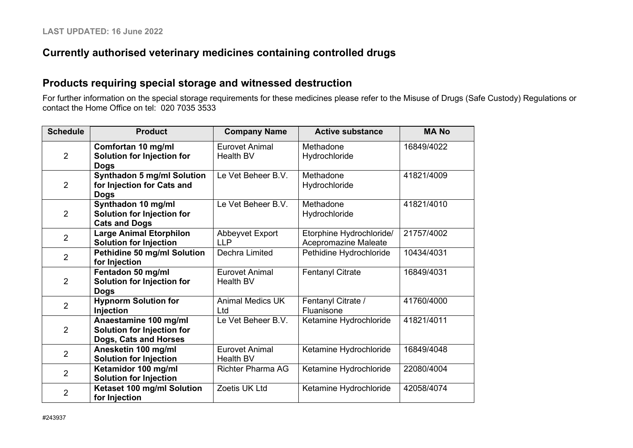## **Currently authorised veterinary medicines containing controlled drugs**

### **Products requiring special storage and witnessed destruction**

For further information on the special storage requirements for these medicines please refer to the Misuse of Drugs (Safe Custody) Regulations or contact the Home Office on tel: 020 7035 3533

| <b>Schedule</b> | <b>Product</b>                     | <b>Company Name</b>      | <b>Active substance</b>  | <b>MANO</b> |
|-----------------|------------------------------------|--------------------------|--------------------------|-------------|
| $\overline{2}$  | Comfortan 10 mg/ml                 | <b>Eurovet Animal</b>    | Methadone                | 16849/4022  |
|                 | <b>Solution for Injection for</b>  | <b>Health BV</b>         | Hydrochloride            |             |
|                 | <b>Dogs</b>                        |                          |                          |             |
|                 | <b>Synthadon 5 mg/ml Solution</b>  | Le Vet Beheer B.V.       | Methadone                | 41821/4009  |
| $\overline{2}$  | for Injection for Cats and         |                          | Hydrochloride            |             |
|                 | <b>Dogs</b>                        |                          |                          |             |
|                 | Synthadon 10 mg/ml                 | Le Vet Beheer B.V.       | Methadone                | 41821/4010  |
| $\overline{2}$  | <b>Solution for Injection for</b>  |                          | Hydrochloride            |             |
|                 | <b>Cats and Dogs</b>               |                          |                          |             |
| $\overline{2}$  | <b>Large Animal Etorphilon</b>     | Abbeyvet Export          | Etorphine Hydrochloride/ | 21757/4002  |
|                 | <b>Solution for Injection</b>      | <b>LLP</b>               | Acepromazine Maleate     |             |
| $\overline{2}$  | <b>Pethidine 50 mg/ml Solution</b> | Dechra Limited           | Pethidine Hydrochloride  | 10434/4031  |
|                 | for Injection                      |                          |                          |             |
|                 | Fentadon 50 mg/ml                  | <b>Eurovet Animal</b>    | <b>Fentanyl Citrate</b>  | 16849/4031  |
| $\overline{2}$  | <b>Solution for Injection for</b>  | <b>Health BV</b>         |                          |             |
|                 | <b>Dogs</b>                        |                          |                          |             |
| $\overline{2}$  | <b>Hypnorm Solution for</b>        | <b>Animal Medics UK</b>  | Fentanyl Citrate /       | 41760/4000  |
|                 | Injection                          | Ltd                      | Fluanisone               |             |
|                 | Anaestamine 100 mg/ml              | Le Vet Beheer B.V.       | Ketamine Hydrochloride   | 41821/4011  |
| $\overline{2}$  | <b>Solution for Injection for</b>  |                          |                          |             |
|                 | Dogs, Cats and Horses              |                          |                          |             |
| $\overline{2}$  | Anesketin 100 mg/ml                | <b>Eurovet Animal</b>    | Ketamine Hydrochloride   | 16849/4048  |
|                 | <b>Solution for Injection</b>      | <b>Health BV</b>         |                          |             |
| $\overline{2}$  | Ketamidor 100 mg/ml                | <b>Richter Pharma AG</b> | Ketamine Hydrochloride   | 22080/4004  |
|                 | <b>Solution for Injection</b>      |                          |                          |             |
| $\overline{2}$  | Ketaset 100 mg/ml Solution         | Zoetis UK Ltd            | Ketamine Hydrochloride   | 42058/4074  |
|                 | for Injection                      |                          |                          |             |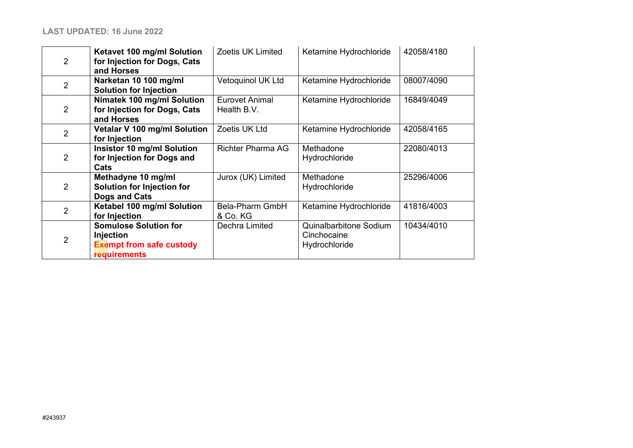| $\overline{2}$ | Ketavet 100 mg/ml Solution<br>for Injection for Dogs, Cats<br>and Horses                            | <b>Zoetis UK Limited</b>             | Ketamine Hydrochloride                                 | 42058/4180 |
|----------------|-----------------------------------------------------------------------------------------------------|--------------------------------------|--------------------------------------------------------|------------|
| $\overline{2}$ | Narketan 10 100 mg/ml<br><b>Solution for Injection</b>                                              | Vetoquinol UK Ltd                    | Ketamine Hydrochloride                                 | 08007/4090 |
| $\overline{2}$ | Nimatek 100 mg/ml Solution<br>for Injection for Dogs, Cats<br>and Horses                            | <b>Eurovet Animal</b><br>Health B.V. | Ketamine Hydrochloride                                 | 16849/4049 |
| $\overline{2}$ | Vetalar V 100 mg/ml Solution<br>for Injection                                                       | Zoetis UK Ltd                        | Ketamine Hydrochloride                                 | 42058/4165 |
| $\overline{2}$ | <b>Insistor 10 mg/ml Solution</b><br>for Injection for Dogs and<br>Cats                             | <b>Richter Pharma AG</b>             | Methadone<br>Hydrochloride                             | 22080/4013 |
| $\overline{2}$ | Methadyne 10 mg/ml<br><b>Solution for Injection for</b><br>Dogs and Cats                            | Jurox (UK) Limited                   | Methadone<br>Hydrochloride                             | 25296/4006 |
| $\overline{2}$ | Ketabel 100 mg/ml Solution<br>for Injection                                                         | Bela-Pharm GmbH<br>& Co. KG          | Ketamine Hydrochloride                                 | 41816/4003 |
| $\overline{2}$ | <b>Somulose Solution for</b><br>Injection<br><b>Exempt from safe custody</b><br><b>requirements</b> | Dechra Limited                       | Quinalbarbitone Sodium<br>Cinchocaine<br>Hydrochloride | 10434/4010 |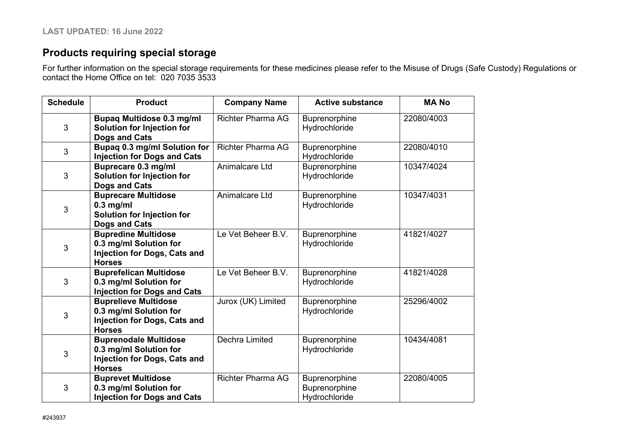# **Products requiring special storage**

For further information on the special storage requirements for these medicines please refer to the Misuse of Drugs (Safe Custody) Regulations or contact the Home Office on tel: 020 7035 3533

| <b>Schedule</b> | <b>Product</b>                                                                                                 | <b>Company Name</b>      | <b>Active substance</b>                         | <b>MANO</b> |
|-----------------|----------------------------------------------------------------------------------------------------------------|--------------------------|-------------------------------------------------|-------------|
| 3               | <b>Bupaq Multidose 0.3 mg/ml</b><br><b>Solution for Injection for</b><br><b>Dogs and Cats</b>                  | <b>Richter Pharma AG</b> | Buprenorphine<br>Hydrochloride                  | 22080/4003  |
| 3               | Bupaq 0.3 mg/ml Solution for<br><b>Injection for Dogs and Cats</b>                                             | <b>Richter Pharma AG</b> | Buprenorphine<br>Hydrochloride                  | 22080/4010  |
| 3               | Buprecare 0.3 mg/ml<br><b>Solution for Injection for</b><br><b>Dogs and Cats</b>                               | Animalcare Ltd           | Buprenorphine<br>Hydrochloride                  | 10347/4024  |
| 3               | <b>Buprecare Multidose</b><br>$0.3$ mg/ml<br>Solution for Injection for<br><b>Dogs and Cats</b>                | Animalcare Ltd           | Buprenorphine<br>Hydrochloride                  | 10347/4031  |
| 3               | <b>Bupredine Multidose</b><br>0.3 mg/ml Solution for<br><b>Injection for Dogs, Cats and</b><br><b>Horses</b>   | Le Vet Beheer B.V.       | Buprenorphine<br>Hydrochloride                  | 41821/4027  |
| 3               | <b>Buprefelican Multidose</b><br>0.3 mg/ml Solution for<br><b>Injection for Dogs and Cats</b>                  | Le Vet Beheer B.V.       | Buprenorphine<br>Hydrochloride                  | 41821/4028  |
| 3               | <b>Buprelieve Multidose</b><br>0.3 mg/ml Solution for<br><b>Injection for Dogs, Cats and</b><br><b>Horses</b>  | Jurox (UK) Limited       | Buprenorphine<br>Hydrochloride                  | 25296/4002  |
| 3               | <b>Buprenodale Multidose</b><br>0.3 mg/ml Solution for<br><b>Injection for Dogs, Cats and</b><br><b>Horses</b> | Dechra Limited           | Buprenorphine<br>Hydrochloride                  | 10434/4081  |
| 3               | <b>Buprevet Multidose</b><br>0.3 mg/ml Solution for<br><b>Injection for Dogs and Cats</b>                      | <b>Richter Pharma AG</b> | Buprenorphine<br>Buprenorphine<br>Hydrochloride | 22080/4005  |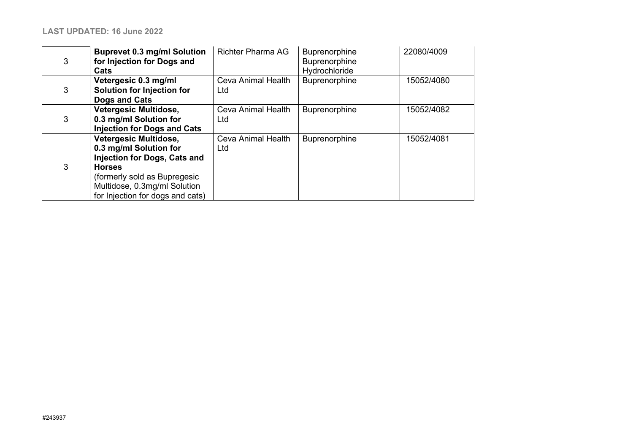| 3 | <b>Buprevet 0.3 mg/ml Solution</b><br>for Injection for Dogs and<br>Cats                                                                                                                                    | <b>Richter Pharma AG</b>  | Buprenorphine<br>Buprenorphine<br>Hydrochloride | 22080/4009 |
|---|-------------------------------------------------------------------------------------------------------------------------------------------------------------------------------------------------------------|---------------------------|-------------------------------------------------|------------|
| 3 | Vetergesic 0.3 mg/ml<br>Solution for Injection for<br>Dogs and Cats                                                                                                                                         | Ceva Animal Health<br>Ltd | Buprenorphine                                   | 15052/4080 |
| 3 | Vetergesic Multidose,<br>0.3 mg/ml Solution for<br><b>Injection for Dogs and Cats</b>                                                                                                                       | Ceva Animal Health<br>Ltd | Buprenorphine                                   | 15052/4082 |
| 3 | <b>Vetergesic Multidose,</b><br>0.3 mg/ml Solution for<br>Injection for Dogs, Cats and<br><b>Horses</b><br>(formerly sold as Bupregesic<br>Multidose, 0.3mg/ml Solution<br>for Injection for dogs and cats) | Ceva Animal Health<br>Ltd | <b>Buprenorphine</b>                            | 15052/4081 |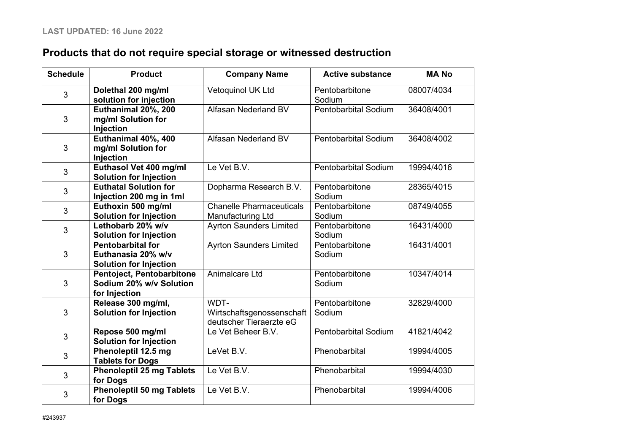## **Products that do not require special storage or witnessed destruction**

| <b>Schedule</b> | <b>Product</b>                                                                  | <b>Company Name</b>                                          | <b>Active substance</b>     | <b>MANO</b> |
|-----------------|---------------------------------------------------------------------------------|--------------------------------------------------------------|-----------------------------|-------------|
| 3               | Dolethal 200 mg/ml<br>solution for injection                                    | Vetoquinol UK Ltd                                            | Pentobarbitone<br>Sodium    | 08007/4034  |
| 3               | Euthanimal 20%, 200<br>mg/ml Solution for<br>Injection                          | Alfasan Nederland BV                                         | <b>Pentobarbital Sodium</b> | 36408/4001  |
| 3               | Euthanimal 40%, 400<br>mg/ml Solution for<br>Injection                          | Alfasan Nederland BV                                         | <b>Pentobarbital Sodium</b> | 36408/4002  |
| $\mathfrak{S}$  | Euthasol Vet 400 mg/ml<br><b>Solution for Injection</b>                         | Le Vet B.V.                                                  | <b>Pentobarbital Sodium</b> | 19994/4016  |
| 3               | <b>Euthatal Solution for</b><br>Injection 200 mg in 1ml                         | Dopharma Research B.V.                                       | Pentobarbitone<br>Sodium    | 28365/4015  |
| 3               | Euthoxin 500 mg/ml<br><b>Solution for Injection</b>                             | <b>Chanelle Pharmaceuticals</b><br>Manufacturing Ltd         | Pentobarbitone<br>Sodium    | 08749/4055  |
| 3               | Lethobarb 20% w/v<br><b>Solution for Injection</b>                              | <b>Ayrton Saunders Limited</b>                               | Pentobarbitone<br>Sodium    | 16431/4000  |
| 3               | <b>Pentobarbital for</b><br>Euthanasia 20% w/v<br><b>Solution for Injection</b> | <b>Ayrton Saunders Limited</b>                               | Pentobarbitone<br>Sodium    | 16431/4001  |
| $\mathfrak{S}$  | Pentoject, Pentobarbitone<br>Sodium 20% w/v Solution<br>for Injection           | Animalcare Ltd                                               | Pentobarbitone<br>Sodium    | 10347/4014  |
| 3               | Release 300 mg/ml,<br><b>Solution for Injection</b>                             | WDT-<br>Wirtschaftsgenossenschaft<br>deutscher Tieraerzte eG | Pentobarbitone<br>Sodium    | 32829/4000  |
| 3               | Repose 500 mg/ml<br><b>Solution for Injection</b>                               | Le Vet Beheer B.V.                                           | <b>Pentobarbital Sodium</b> | 41821/4042  |
| 3               | Phenoleptil 12.5 mg<br><b>Tablets for Dogs</b>                                  | LeVet B.V.                                                   | Phenobarbital               | 19994/4005  |
| 3               | <b>Phenoleptil 25 mg Tablets</b><br>for Dogs                                    | Le Vet B.V.                                                  | Phenobarbital               | 19994/4030  |
| 3               | <b>Phenoleptil 50 mg Tablets</b><br>for Dogs                                    | Le Vet B.V.                                                  | Phenobarbital               | 19994/4006  |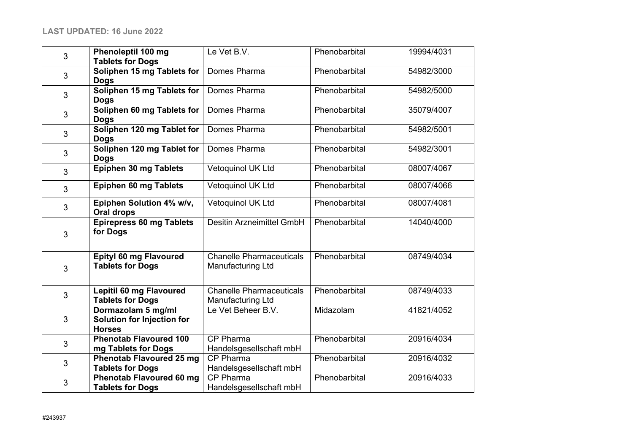| 3 | Phenoleptil 100 mg<br><b>Tablets for Dogs</b>                     | Le Vet B.V.                                          | Phenobarbital | 19994/4031 |
|---|-------------------------------------------------------------------|------------------------------------------------------|---------------|------------|
| 3 | Soliphen 15 mg Tablets for<br><b>Dogs</b>                         | Domes Pharma                                         | Phenobarbital | 54982/3000 |
| 3 | Soliphen 15 mg Tablets for<br><b>Dogs</b>                         | Domes Pharma                                         | Phenobarbital | 54982/5000 |
| 3 | Soliphen 60 mg Tablets for<br><b>Dogs</b>                         | Domes Pharma                                         | Phenobarbital | 35079/4007 |
| 3 | Soliphen 120 mg Tablet for<br><b>Dogs</b>                         | Domes Pharma                                         | Phenobarbital | 54982/5001 |
| 3 | Soliphen 120 mg Tablet for<br><b>Dogs</b>                         | Domes Pharma                                         | Phenobarbital | 54982/3001 |
| 3 | Epiphen 30 mg Tablets                                             | Vetoquinol UK Ltd                                    | Phenobarbital | 08007/4067 |
| 3 | <b>Epiphen 60 mg Tablets</b>                                      | Vetoquinol UK Ltd                                    | Phenobarbital | 08007/4066 |
| 3 | Epiphen Solution 4% w/v,<br>Oral drops                            | Vetoquinol UK Ltd                                    | Phenobarbital | 08007/4081 |
| 3 | <b>Epirepress 60 mg Tablets</b><br>for Dogs                       | <b>Desitin Arzneimittel GmbH</b>                     | Phenobarbital | 14040/4000 |
| 3 | Epityl 60 mg Flavoured<br><b>Tablets for Dogs</b>                 | <b>Chanelle Pharmaceuticals</b><br>Manufacturing Ltd | Phenobarbital | 08749/4034 |
| 3 | <b>Lepitil 60 mg Flavoured</b><br><b>Tablets for Dogs</b>         | <b>Chanelle Pharmaceuticals</b><br>Manufacturing Ltd | Phenobarbital | 08749/4033 |
| 3 | Dormazolam 5 mg/ml<br>Solution for Injection for<br><b>Horses</b> | Le Vet Beheer B.V.                                   | Midazolam     | 41821/4052 |
| 3 | <b>Phenotab Flavoured 100</b><br>mg Tablets for Dogs              | CP Pharma<br>Handelsgesellschaft mbH                 | Phenobarbital | 20916/4034 |
| 3 | <b>Phenotab Flavoured 25 mg</b><br><b>Tablets for Dogs</b>        | <b>CP Pharma</b><br>Handelsgesellschaft mbH          | Phenobarbital | 20916/4032 |
| 3 | <b>Phenotab Flavoured 60 mg</b><br><b>Tablets for Dogs</b>        | <b>CP Pharma</b><br>Handelsgesellschaft mbH          | Phenobarbital | 20916/4033 |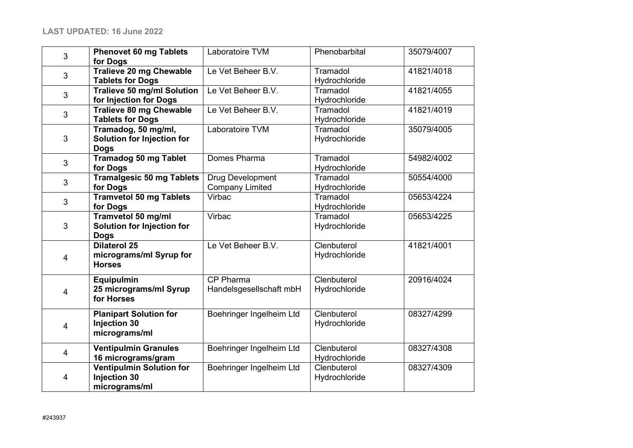| 3                       | <b>Phenovet 60 mg Tablets</b><br>for Dogs                               | Laboratoire TVM                            | Phenobarbital                | 35079/4007 |
|-------------------------|-------------------------------------------------------------------------|--------------------------------------------|------------------------------|------------|
| $\mathbf{3}$            | Tralieve 20 mg Chewable<br><b>Tablets for Dogs</b>                      | Le Vet Beheer B.V.                         | Tramadol<br>Hydrochloride    | 41821/4018 |
| $\mathbf{3}$            | <b>Tralieve 50 mg/ml Solution</b><br>for Injection for Dogs             | Le Vet Beheer B.V.                         | Tramadol<br>Hydrochloride    | 41821/4055 |
| 3                       | <b>Tralieve 80 mg Chewable</b><br><b>Tablets for Dogs</b>               | Le Vet Beheer B.V.                         | Tramadol<br>Hydrochloride    | 41821/4019 |
| $\mathbf{3}$            | Tramadog, 50 mg/ml,<br><b>Solution for Injection for</b><br><b>Dogs</b> | Laboratoire TVM                            | Tramadol<br>Hydrochloride    | 35079/4005 |
| 3                       | <b>Tramadog 50 mg Tablet</b><br>for Dogs                                | Domes Pharma                               | Tramadol<br>Hydrochloride    | 54982/4002 |
| 3                       | <b>Tramalgesic 50 mg Tablets</b><br>for Dogs                            | Drug Development<br><b>Company Limited</b> | Tramadol<br>Hydrochloride    | 50554/4000 |
| 3                       | <b>Tramvetol 50 mg Tablets</b><br>for Dogs                              | Virbac                                     | Tramadol<br>Hydrochloride    | 05653/4224 |
| $\mathbf{3}$            | Tramvetol 50 mg/ml<br><b>Solution for Injection for</b><br><b>Dogs</b>  | Virbac                                     | Tramadol<br>Hydrochloride    | 05653/4225 |
| $\overline{4}$          | <b>Dilaterol 25</b><br>micrograms/ml Syrup for<br><b>Horses</b>         | Le Vet Beheer B.V.                         | Clenbuterol<br>Hydrochloride | 41821/4001 |
| 4                       | <b>Equipulmin</b><br>25 micrograms/ml Syrup<br>for Horses               | CP Pharma<br>Handelsgesellschaft mbH       | Clenbuterol<br>Hydrochloride | 20916/4024 |
| $\overline{\mathbf{4}}$ | <b>Planipart Solution for</b><br><b>Injection 30</b><br>micrograms/ml   | Boehringer Ingelheim Ltd                   | Clenbuterol<br>Hydrochloride | 08327/4299 |
| 4                       | <b>Ventipulmin Granules</b><br>16 micrograms/gram                       | Boehringer Ingelheim Ltd                   | Clenbuterol<br>Hydrochloride | 08327/4308 |
| 4                       | <b>Ventipulmin Solution for</b><br><b>Injection 30</b><br>micrograms/ml | Boehringer Ingelheim Ltd                   | Clenbuterol<br>Hydrochloride | 08327/4309 |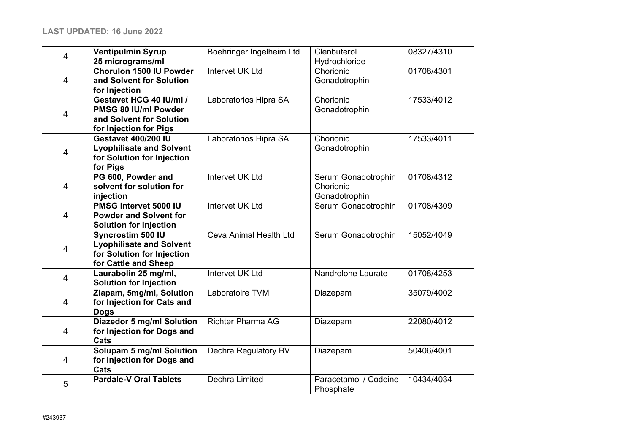| 4                       | <b>Ventipulmin Syrup</b><br>25 micrograms/ml                                                               | Boehringer Ingelheim Ltd | Clenbuterol<br>Hydrochloride                      | 08327/4310 |
|-------------------------|------------------------------------------------------------------------------------------------------------|--------------------------|---------------------------------------------------|------------|
| $\overline{4}$          | <b>Chorulon 1500 IU Powder</b><br>and Solvent for Solution<br>for Injection                                | <b>Intervet UK Ltd</b>   | Chorionic<br>Gonadotrophin                        | 01708/4301 |
| $\overline{\mathbf{4}}$ | Gestavet HCG 40 IU/ml /<br>PMSG 80 IU/ml Powder<br>and Solvent for Solution<br>for Injection for Pigs      | Laboratorios Hipra SA    | Chorionic<br>Gonadotrophin                        | 17533/4012 |
| $\overline{4}$          | <b>Gestavet 400/200 IU</b><br><b>Lyophilisate and Solvent</b><br>for Solution for Injection<br>for Pigs    | Laboratorios Hipra SA    | Chorionic<br>Gonadotrophin                        | 17533/4011 |
| $\overline{4}$          | PG 600, Powder and<br>solvent for solution for<br>injection                                                | <b>Intervet UK Ltd</b>   | Serum Gonadotrophin<br>Chorionic<br>Gonadotrophin | 01708/4312 |
| $\overline{4}$          | PMSG Intervet 5000 IU<br><b>Powder and Solvent for</b><br><b>Solution for Injection</b>                    | <b>Intervet UK Ltd</b>   | Serum Gonadotrophin                               | 01708/4309 |
| 4                       | Syncrostim 500 IU<br><b>Lyophilisate and Solvent</b><br>for Solution for Injection<br>for Cattle and Sheep | Ceva Animal Health Ltd   | Serum Gonadotrophin                               | 15052/4049 |
| 4                       | Laurabolin 25 mg/ml,<br><b>Solution for Injection</b>                                                      | <b>Intervet UK Ltd</b>   | Nandrolone Laurate                                | 01708/4253 |
| $\overline{4}$          | Ziapam, 5mg/ml, Solution<br>for Injection for Cats and<br><b>Dogs</b>                                      | Laboratoire TVM          | Diazepam                                          | 35079/4002 |
| 4                       | <b>Diazedor 5 mg/ml Solution</b><br>for Injection for Dogs and<br>Cats                                     | <b>Richter Pharma AG</b> | Diazepam                                          | 22080/4012 |
| $\overline{4}$          | <b>Solupam 5 mg/ml Solution</b><br>for Injection for Dogs and<br>Cats                                      | Dechra Regulatory BV     | Diazepam                                          | 50406/4001 |
| 5                       | <b>Pardale-V Oral Tablets</b>                                                                              | Dechra Limited           | Paracetamol / Codeine<br>Phosphate                | 10434/4034 |